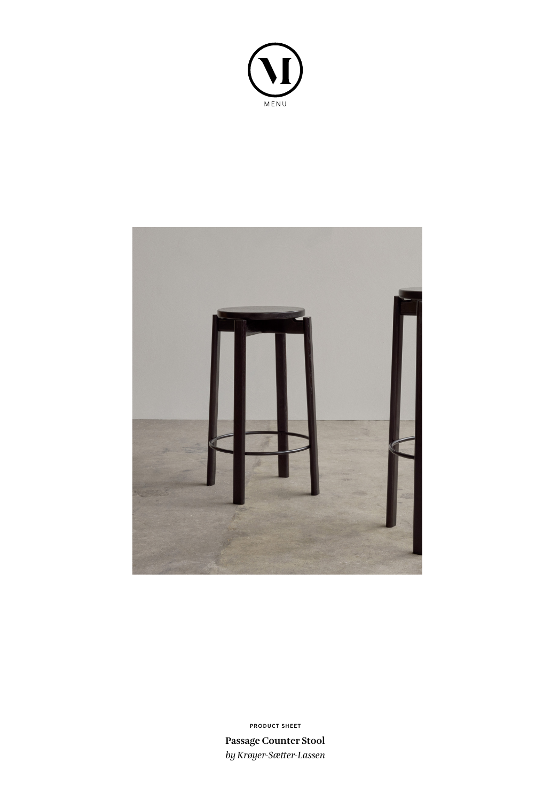



**Passage Counter Stool** *by Krøyer-Sætter-Lassen* **PRODUCT SHEET**